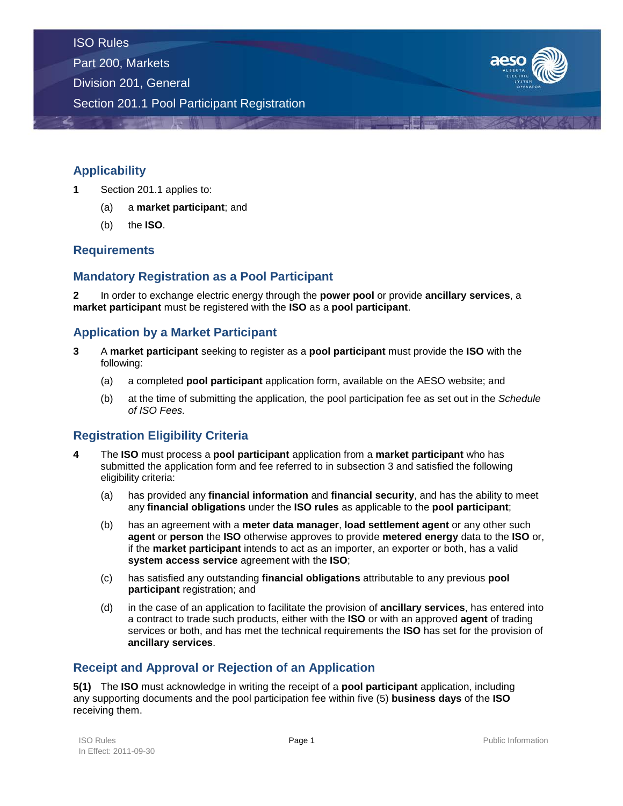Part 200, Markets

Division 201, General

Section 201.1 Pool Participant Registration



# **Applicability**

- **1** Section 201.1 applies to:
	- (a) a **market participant**; and
	- (b) the **ISO**.

# **Requirements**

# **Mandatory Registration as a Pool Participant**

**2** In order to exchange electric energy through the **power pool** or provide **ancillary services**, a **market participant** must be registered with the **ISO** as a **pool participant**.

## **Application by a Market Participant**

- **3** A **market participant** seeking to register as a **pool participant** must provide the **ISO** with the following:
	- (a) a completed **pool participant** application form, available on the AESO website; and
	- (b) at the time of submitting the application, the pool participation fee as set out in the *Schedule of ISO Fees.*

# **Registration Eligibility Criteria**

- **4** The **ISO** must process a **pool participant** application from a **market participant** who has submitted the application form and fee referred to in subsection 3 and satisfied the following eligibility criteria:
	- (a) has provided any **financial information** and **financial security**, and has the ability to meet any **financial obligations** under the **ISO rules** as applicable to the **pool participant**;
	- (b) has an agreement with a **meter data manager**, **load settlement agent** or any other such **agent** or **person** the **ISO** otherwise approves to provide **metered energy** data to the **ISO** or, if the **market participant** intends to act as an importer, an exporter or both, has a valid **system access service** agreement with the **ISO**;
	- (c) has satisfied any outstanding **financial obligations** attributable to any previous **pool participant** registration; and
	- (d) in the case of an application to facilitate the provision of **ancillary services**, has entered into a contract to trade such products, either with the **ISO** or with an approved **agent** of trading services or both, and has met the technical requirements the **ISO** has set for the provision of **ancillary services**.

# **Receipt and Approval or Rejection of an Application**

**5(1)** The **ISO** must acknowledge in writing the receipt of a **pool participant** application, including any supporting documents and the pool participation fee within five (5) **business days** of the **ISO** receiving them.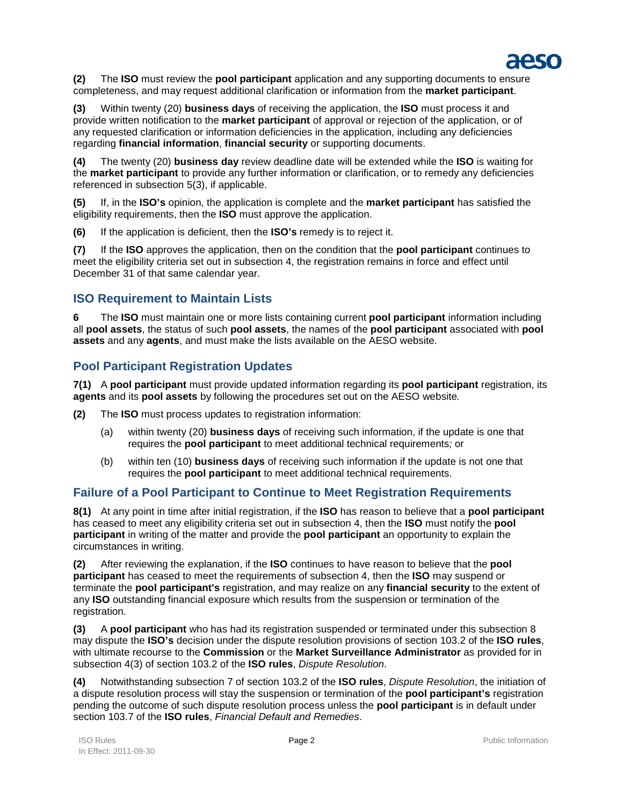

**(2)** The **ISO** must review the **pool participant** application and any supporting documents to ensure completeness, and may request additional clarification or information from the **market participant**.

**(3)** Within twenty (20) **business days** of receiving the application, the **ISO** must process it and provide written notification to the **market participant** of approval or rejection of the application, or of any requested clarification or information deficiencies in the application, including any deficiencies regarding **financial information**, **financial security** or supporting documents.

**(4)** The twenty (20) **business day** review deadline date will be extended while the **ISO** is waiting for the **market participant** to provide any further information or clarification, or to remedy any deficiencies referenced in subsection 5(3), if applicable.

**(5)** If, in the **ISO's** opinion, the application is complete and the **market participant** has satisfied the eligibility requirements, then the **ISO** must approve the application.

**(6)** If the application is deficient, then the **ISO's** remedy is to reject it.

**(7)** If the **ISO** approves the application, then on the condition that the **pool participant** continues to meet the eligibility criteria set out in subsection 4, the registration remains in force and effect until December 31 of that same calendar year.

## **ISO Requirement to Maintain Lists**

**6** The **ISO** must maintain one or more lists containing current **pool participant** information including all **pool assets**, the status of such **pool assets**, the names of the **pool participant** associated with **pool assets** and any **agents**, and must make the lists available on the AESO website.

## **Pool Participant Registration Updates**

**7(1)** A **pool participant** must provide updated information regarding its **pool participant** registration, its **agents** and its **pool assets** by following the procedures set out on the AESO website*.*

**(2)** The **ISO** must process updates to registration information:

- (a) within twenty (20) **business days** of receiving such information, if the update is one that requires the **pool participant** to meet additional technical requirements*;* or
- (b) within ten (10) **business days** of receiving such information if the update is not one that requires the **pool participant** to meet additional technical requirements.

## **Failure of a Pool Participant to Continue to Meet Registration Requirements**

**8(1)** At any point in time after initial registration, if the **ISO** has reason to believe that a **pool participant** has ceased to meet any eligibility criteria set out in subsection 4, then the **ISO** must notify the **pool participant** in writing of the matter and provide the **pool participant** an opportunity to explain the circumstances in writing.

**(2)** After reviewing the explanation, if the **ISO** continues to have reason to believe that the **pool participant** has ceased to meet the requirements of subsection 4, then the **ISO** may suspend or terminate the **pool participant's** registration, and may realize on any **financial security** to the extent of any **ISO** outstanding financial exposure which results from the suspension or termination of the registration.

**(3)** A **pool participant** who has had its registration suspended or terminated under this subsection 8 may dispute the **ISO's** decision under the dispute resolution provisions of section 103.2 of the **ISO rules**, with ultimate recourse to the **Commission** or the **Market Surveillance Administrator** as provided for in subsection 4(3) of section 103.2 of the **ISO rules**, *Dispute Resolution*.

**(4)** Notwithstanding subsection 7 of section 103.2 of the **ISO rules**, *Dispute Resolution*, the initiation of a dispute resolution process will stay the suspension or termination of the **pool participant's** registration pending the outcome of such dispute resolution process unless the **pool participant** is in default under section 103.7 of the **ISO rules**, *Financial Default and Remedies*.